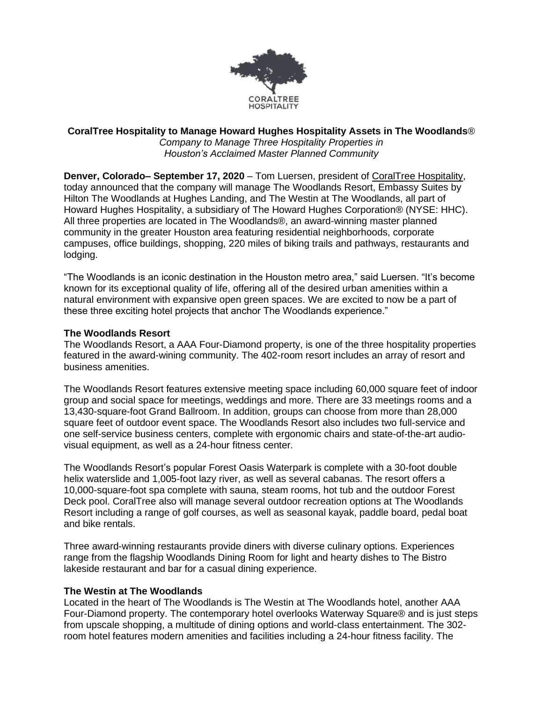

#### **CoralTree Hospitality to Manage Howard Hughes Hospitality Assets in The Woodlands**® *Company to Manage Three Hospitality Properties in*

*Houston's Acclaimed Master Planned Community*

**Denver, Colorado– September 17, 2020** – Tom Luersen, president of [CoralTree Hospitality,](https://www.coraltreehospitality.com/) today announced that the company will manage The Woodlands Resort, Embassy Suites by Hilton The Woodlands at Hughes Landing, and The Westin at The Woodlands, all part of Howard Hughes Hospitality, a subsidiary of The Howard Hughes Corporation® (NYSE: HHC). All three properties are located in The Woodlands®, an award-winning master planned community in the greater Houston area featuring residential neighborhoods, corporate campuses, office buildings, shopping, 220 miles of biking trails and pathways, restaurants and lodging.

"The Woodlands is an iconic destination in the Houston metro area," said Luersen. "It's become known for its exceptional quality of life, offering all of the desired urban amenities within a natural environment with expansive open green spaces. We are excited to now be a part of these three exciting hotel projects that anchor The Woodlands experience."

## **The Woodlands Resort**

The Woodlands Resort, a AAA Four-Diamond property, is one of the three hospitality properties featured in the award-wining community. The 402-room resort includes an array of resort and business amenities.

The Woodlands Resort features extensive meeting space including 60,000 square feet of indoor group and social space for meetings, weddings and more. There are 33 meetings rooms and a 13,430-square-foot Grand Ballroom. In addition, groups can choose from more than 28,000 square feet of outdoor event space. The Woodlands Resort also includes two full-service and one self-service business centers, complete with ergonomic chairs and state-of-the-art audiovisual equipment, as well as a 24-hour fitness center.

The Woodlands Resort's popular Forest Oasis Waterpark is complete with a 30-foot double helix waterslide and 1,005-foot lazy river, as well as several cabanas. The resort offers a 10,000-square-foot spa complete with sauna, steam rooms, hot tub and the outdoor Forest Deck pool. CoralTree also will manage several outdoor recreation options at The Woodlands Resort including a range of golf courses, as well as seasonal kayak, paddle board, pedal boat and bike rentals.

Three award-winning restaurants provide diners with diverse culinary options. Experiences range from the flagship Woodlands Dining Room for light and hearty dishes to The Bistro lakeside restaurant and bar for a casual dining experience.

### **The Westin at The Woodlands**

Located in the heart of The Woodlands is The Westin at The Woodlands hotel, another AAA Four-Diamond property. The contemporary hotel overlooks Waterway Square® and is just steps from upscale shopping, a multitude of dining options and world-class entertainment. The 302 room hotel features modern amenities and facilities including a 24-hour fitness facility. The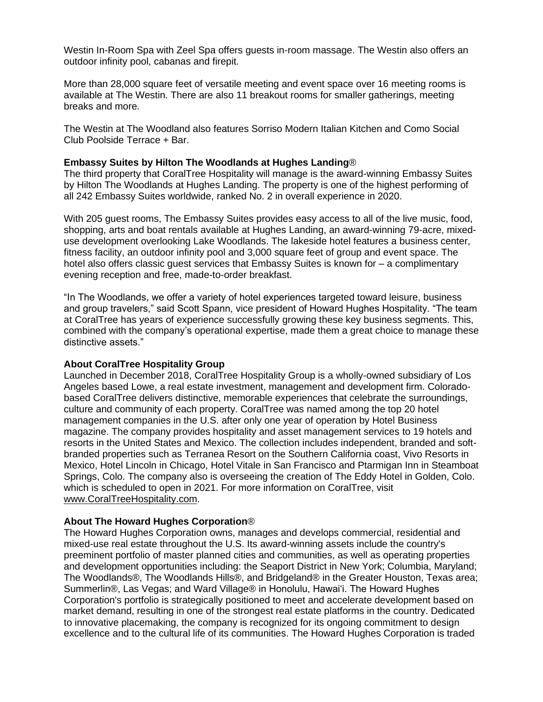Westin In-Room Spa with Zeel Spa offers guests in-room massage. The Westin also offers an outdoor infinity pool, cabanas and firepit.

More than 28,000 square feet of versatile meeting and event space over 16 meeting rooms is available at The Westin. There are also 11 breakout rooms for smaller gatherings, meeting breaks and more.

The Westin at The Woodland also features Sorriso Modern Italian Kitchen and Como Social Club Poolside Terrace + Bar.

# **Embassy Suites by Hilton The Woodlands at Hughes Landing**®

The third property that CoralTree Hospitality will manage is the award-winning Embassy Suites by Hilton The Woodlands at Hughes Landing. The property is one of the highest performing of all 242 Embassy Suites worldwide, ranked No. 2 in overall experience in 2020.

With 205 guest rooms, The Embassy Suites provides easy access to all of the live music, food, shopping, arts and boat rentals available at Hughes Landing, an award-winning 79-acre, mixeduse development overlooking Lake Woodlands. The lakeside hotel features a business center, fitness facility, an outdoor infinity pool and 3,000 square feet of group and event space. The hotel also offers classic guest services that Embassy Suites is known for – a complimentary evening reception and free, made-to-order breakfast.

"In The Woodlands, we offer a variety of hotel experiences targeted toward leisure, business and group travelers," said Scott Spann, vice president of Howard Hughes Hospitality. "The team at CoralTree has years of experience successfully growing these key business segments. This, combined with the company's operational expertise, made them a great choice to manage these distinctive assets."

### **About CoralTree Hospitality Group**

Launched in December 2018, CoralTree Hospitality Group is a wholly-owned subsidiary of Los Angeles based Lowe, a real estate investment, management and development firm. Coloradobased CoralTree delivers distinctive, memorable experiences that celebrate the surroundings, culture and community of each property. CoralTree was named among the top 20 hotel management companies in the U.S. after only one year of operation by Hotel Business magazine. The company provides hospitality and asset management services to 19 hotels and resorts in the United States and Mexico. The collection includes independent, branded and softbranded properties such as Terranea Resort on the Southern California coast, Vivo Resorts in Mexico, Hotel Lincoln in Chicago, Hotel Vitale in San Francisco and Ptarmigan Inn in Steamboat Springs, Colo. The company also is overseeing the creation of The Eddy Hotel in Golden, Colo. which is scheduled to open in 2021. For more information on CoralTree, visit [www.CoralTreeHospitality.com.](http://www.coraltreehospitality.com/)

## **About The Howard Hughes Corporation**®

The Howard Hughes Corporation owns, manages and develops commercial, residential and mixed-use real estate throughout the U.S. Its award-winning assets include the country's preeminent portfolio of master planned cities and communities, as well as operating properties and development opportunities including: the Seaport District in New York; Columbia, Maryland; The Woodlands®, The Woodlands Hills®, and Bridgeland® in the Greater Houston, Texas area; Summerlin®, Las Vegas; and Ward Village® in Honolulu, Hawaiʻi. The Howard Hughes Corporation's portfolio is strategically positioned to meet and accelerate development based on market demand, resulting in one of the strongest real estate platforms in the country. Dedicated to innovative placemaking, the company is recognized for its ongoing commitment to design excellence and to the cultural life of its communities. The Howard Hughes Corporation is traded